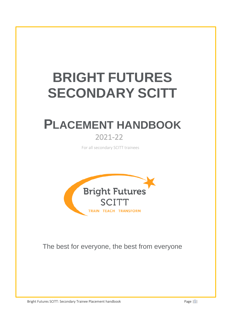# **BRIGHT FUTURES SECONDARY SCITT**

## **PLACEMENT HANDBOOK** 2021-22

For all secondary SCITT trainees



The best for everyone, the best from everyone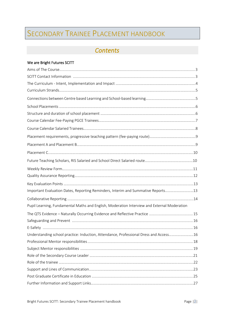## SECONDARY TRAINEE PLACEMENT HANDBOOK

## *Contents*

#### We are Bright Futures SCITT

| Important Evaluation Dates, Reporting Reminders, Interim and Summative Reports13            |  |
|---------------------------------------------------------------------------------------------|--|
|                                                                                             |  |
| Pupil Learning, Fundamental Maths and English, Moderation Interview and External Moderation |  |
|                                                                                             |  |
|                                                                                             |  |
|                                                                                             |  |
| Understanding school practice: Induction, Attendance, Professional Dress and Access16       |  |
|                                                                                             |  |
|                                                                                             |  |
|                                                                                             |  |
|                                                                                             |  |
|                                                                                             |  |
|                                                                                             |  |
|                                                                                             |  |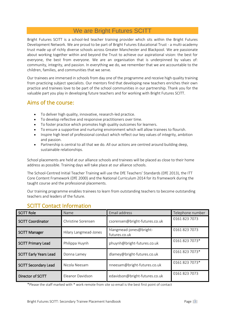## We are Bright Futures SCITT

Bright Futures SCITT is a school-led teacher training provider which sits within the Bright Futures Development Network. We are proud to be part of Bright Futures Educational Trust - a multi-academy trust made up of richly diverse schools across Greater Manchester and Blackpool. We are passionate about working together within and beyond the Trust to achieve our aspirational vision: the best for everyone, the best from everyone. We are an organisation that is underpinned by values of: community, integrity, and passion. In everything we do, we remember that we are accountable to the children, families, and communities that we serve.

Our trainees are immersed in schools from day one of the programme and receive high quality training from practicing subject specialists. Our mentors find that developing new teachers enriches their own practice and trainees love to be part of the school communities in our partnership. Thank you for the valuable part you play in developing future teachers and for working with Bright Futures SCITT.

## Aims of the course:

- To deliver high quality, innovative, research-led practice.
- To develop reflective and responsive practitioners over time.
- To foster practice which promotes high quality outcomes for learners.
- To ensure a supportive and nurturing environment which will allow trainees to flourish.
- Inspire high level of professional conduct which reflect our key values of integrity, ambition and passion.
- Partnership is central to all that we do. All our actions are centred around building deep, sustainable relationships.

School placements are held at our alliance schools and trainees will be placed as close to their home address as possible. Training days will take place at our alliance schools.

The School-Centred Initial Teacher Training will use the DfE Teachers' Standards (DfE 2013), the ITT Core Content Framework (DfE 2000) and the National Curriculum 2014 for its framework during the taught course and the professional placements.

Our training programme enables trainees to learn from outstanding teachers to become outstanding teachers and leaders of the future.

| <b>SCITT Role</b>             | Name                  | Email address                            | Telephone number |
|-------------------------------|-----------------------|------------------------------------------|------------------|
| <b>SCITT Coordinator</b>      | Christine Sorensen    | csorensen@bright-futures.co.uk           | 0161 823 7073    |
| <b>SCITT Manager</b>          | Hilary Langmead-Jones | hlangmead-jones@bright-<br>futures.co.uk | 0161 823 7073    |
| <b>SCITT Primary Lead</b>     | Philippa Huynh        | phuynh@bright-futures.co.uk              | 0161 823 7073*   |
| <b>SCITT Early Years Lead</b> | Donna Lamey           | dlamey@bright-futures.co.uk              | 0161 823 7073*   |
| <b>SCITT Secondary Lead</b>   | Nicola Neesam         | nneesam@bright-futures.co.uk             | 0161 823 7073*   |
| Director of SCITT             | Eleanor Davidson      | edavidson@bright-futures.co.uk           | 0161 823 7073    |

## SCITT Contact Information

\*Please the staff marked with \* work remote from site so email is the best first point of contact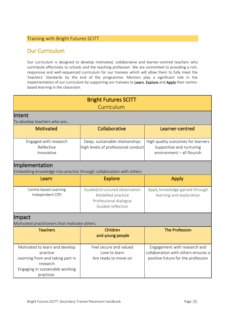#### Training with Bright Futures SCITT

## Our Curriculum

Our curriculum is designed to develop motivated, collaborative and learner-centred teachers who contribute effectively to schools and the teaching profession. We are committed to providing a rich, responsive and well-sequenced curriculum for our trainees which will allow them to fully meet the Teachers' Standards by the end of the programme. Mentors play a significant role in the implementation of our curriculum by supporting our trainees to Learn, Explore and Apply their centrebased learning in the classroom.

| <b>Bright Futures SCITT</b>                                                                                                                |                                                                                                  |                                                                                                           |  |  |  |  |  |  |  |  |  |
|--------------------------------------------------------------------------------------------------------------------------------------------|--------------------------------------------------------------------------------------------------|-----------------------------------------------------------------------------------------------------------|--|--|--|--|--|--|--|--|--|
|                                                                                                                                            | Curriculum                                                                                       |                                                                                                           |  |  |  |  |  |  |  |  |  |
| lIntent                                                                                                                                    |                                                                                                  |                                                                                                           |  |  |  |  |  |  |  |  |  |
| To develop teachers who are                                                                                                                |                                                                                                  |                                                                                                           |  |  |  |  |  |  |  |  |  |
| <b>Motivated</b>                                                                                                                           | Collaborative                                                                                    | Learner-centred                                                                                           |  |  |  |  |  |  |  |  |  |
| Engaged with research<br>Reflective<br>Innovative                                                                                          | Deep, sustainable relationships<br>High levels of professional conduct                           | High quality outcomes for learners<br>Supportive and nurturing<br>environment - all flourish              |  |  |  |  |  |  |  |  |  |
| Implementation<br>Embedding knowledge into practice through collaboration with others                                                      |                                                                                                  |                                                                                                           |  |  |  |  |  |  |  |  |  |
| Learn                                                                                                                                      | <b>Explore</b>                                                                                   | <b>Apply</b>                                                                                              |  |  |  |  |  |  |  |  |  |
| Centre-based Learning<br>Independent CPD                                                                                                   | Guided/structured observation<br>Modelled practice<br>Professional dialogue<br>Guided reflection | Apply knowledge gained through<br>learning and exploration                                                |  |  |  |  |  |  |  |  |  |
| Impact                                                                                                                                     |                                                                                                  |                                                                                                           |  |  |  |  |  |  |  |  |  |
| Motivated practitioners that motivate others                                                                                               |                                                                                                  |                                                                                                           |  |  |  |  |  |  |  |  |  |
| <b>Teachers</b>                                                                                                                            | Children<br>and young people                                                                     | <b>The Profession</b>                                                                                     |  |  |  |  |  |  |  |  |  |
| Motivated to learn and develop<br>practice<br>Learning from and taking part in<br>research<br>Engaging in sustainable working<br>practices | Feel secure and valued<br>Love to learn<br>Are ready to move on                                  | Engagement with research and<br>collaboration with others ensures a<br>positive future for the profession |  |  |  |  |  |  |  |  |  |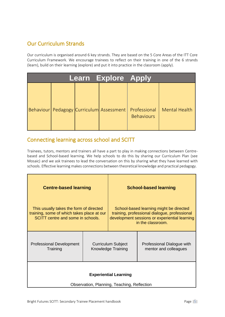## Our Curriculum Strands

Our curriculum is organised around 6 key strands. They are based on the 5 Core Areas of the ITT Core Curriculum Framework. We encourage trainees to reflect on their training in one of the 6 strands (learn), build on their learning (explore) and put it into practice in the classroom (apply).

|  | <b>Learn Explore Apply</b> |                                                                                    |                      |
|--|----------------------------|------------------------------------------------------------------------------------|----------------------|
|  |                            | Behaviour   Pedagogy   Curriculum   Assessment   Professional<br><b>Behaviours</b> | <b>Mental Health</b> |

## Connecting learning across school and SCITT

Trainees, tutors, mentors and trainers all have a part to play in making connections between Centrebased and School-based learning. We help schools to do this by sharing our Curriculum Plan (see Mosaic) and we ask trainees to lead the conversation on this by sharing what they have learned with schools. Effective learning makes connections between theoretical knowledge and practical pedagogy.

| <b>Centre-based learning</b>                                                                                               |  | <b>School-based learning</b>                    |                                                                                                                                                                |  |  |  |  |  |  |  |
|----------------------------------------------------------------------------------------------------------------------------|--|-------------------------------------------------|----------------------------------------------------------------------------------------------------------------------------------------------------------------|--|--|--|--|--|--|--|
| This usually takes the form of directed<br>training, some of which takes place at our<br>SCITT centre and some in schools. |  |                                                 | School-based learning might be directed<br>training, professional dialogue, professional<br>development sessions or experiential learning<br>in the classroom. |  |  |  |  |  |  |  |
| <b>Professional Development</b><br>Training                                                                                |  | <b>Curriculum Subject</b><br>Knowledge Training | Professional Dialogue with<br>mentor and colleagues                                                                                                            |  |  |  |  |  |  |  |
| <b>Experiential Learning</b><br>Observation, Planning, Teaching, Reflection                                                |  |                                                 |                                                                                                                                                                |  |  |  |  |  |  |  |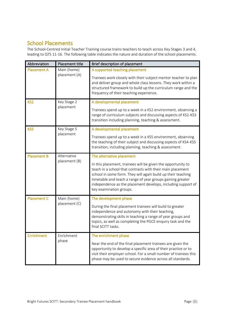## School Placements

The School-Centred Initial Teacher Training course trains teachers to teach across Key Stages 3 and 4, leading to QTS 11-16. The following table indicates the nature and duration of the school placements.

| Abbreviation       | Placement title              | Brief description of placement                                                                                                                                                                                                                                                                                                                                                   |
|--------------------|------------------------------|----------------------------------------------------------------------------------------------------------------------------------------------------------------------------------------------------------------------------------------------------------------------------------------------------------------------------------------------------------------------------------|
| <b>Placement A</b> | Main (home)<br>placement (A) | A supported teaching placement<br>Trainees work closely with their subject mentor teacher to plan<br>and deliver group and whole class lessons. They work within a<br>structured framework to build up the curriculum range and the<br>frequency of their teaching experience.                                                                                                   |
| KS <sub>2</sub>    | Key Stage 2<br>placement     | A developmental placement<br>Trainees spend up to a week in a KS2 environment, observing a<br>range of curriculum subjects and discussing aspects of KS2-KS3<br>transition including planning, teaching & assessment.                                                                                                                                                            |
| KS5                | Key Stage 5<br>placement     | A developmental placement<br>Trainees spend up to a week in a KS5 environment, observing<br>the teaching of their subject and discussing aspects of KS4-KS5<br>transition, including planning, teaching & assessment.                                                                                                                                                            |
| <b>Placement B</b> | Alternative<br>placement (B) | The alternative placement<br>In this placement, trainees will be given the opportunity to<br>teach in a school that contrasts with their main placement<br>school in some form. They will again build up their teaching<br>timetable and teach a range of year groups gaining greater<br>independence as the placement develops, including support of<br>key examination groups. |
| <b>Placement C</b> | Main (home)<br>placement (C) | The development phase<br>During the final placement trainees will build to greater<br>independence and autonomy with their teaching,<br>demonstrating skills in teaching a range of year groups and<br>topics, as well as completing the PGCE enquiry task and the<br>final SCITT tasks.                                                                                         |
| <b>Enrichment</b>  | Enrichment<br>phase          | The enrichment phase<br>Near the end of the final placement trainees are given the<br>opportunity to develop a specific area of their practice or to<br>visit their employer school. For a small number of trainees this<br>phase may be used to secure evidence across all standards.                                                                                           |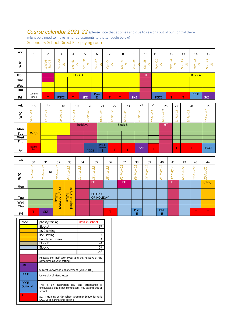**Course calendar 2021-22** (please note that at times and due to reasons out of our control there might be a need to make minor adjustments to the schedule below) Secondary School Direct Fee-paying route

| wk  |                  | 2                                          | 3                            | 4                                 | 5                                                                     | 6                                                | ⇁                                        | 8                                                                       | 9                                                 | 10                                  | 11                                  | 12                    | 13                                             | 14                                                           | 15                        |
|-----|------------------|--------------------------------------------|------------------------------|-----------------------------------|-----------------------------------------------------------------------|--------------------------------------------------|------------------------------------------|-------------------------------------------------------------------------|---------------------------------------------------|-------------------------------------|-------------------------------------|-----------------------|------------------------------------------------|--------------------------------------------------------------|---------------------------|
| W/C |                  | 2Q<br>$\overline{21}$<br>Wed<br><b>Sep</b> | 8<br>$\overline{21}$<br>Sep- | ന<br>H<br>$\overline{21}$<br>Sep- | $\overline{\mathcal{S}}$<br>I<br>$\overline{\sim}$<br>$\sigma$<br>Se, | $\overline{27}$<br>$\overline{21}$<br><b>Sep</b> | $\overline{\mathcal{X}}$<br>21<br>┶<br>Š | $\overline{ }$<br>$\overline{ }$<br>$\mathbf{N}$<br>⊷<br>$\overline{S}$ | $\infty$<br>$\overline{\phantom{0}}$<br><b>CC</b> | 25<br>$\overline{21}$<br><b>Oct</b> | 5<br>$\overline{21}$<br>$\geqslant$ | $\infty$<br>21<br>Šν. | 15<br>$\overline{21}$<br>$\sum_{i=1}^{\infty}$ | $\overline{2}$<br>H<br>$\mathbf{N}$<br>$\sum_{i=1}^{\infty}$ | O<br>$\sim$<br>21<br>Nov. |
| Mon |                  |                                            |                              | <b>Block A</b>                    |                                                                       |                                                  |                                          |                                                                         |                                                   | HT                                  |                                     |                       |                                                | <b>Block A</b>                                               |                           |
| Tue |                  |                                            |                              |                                   |                                                                       |                                                  |                                          |                                                                         |                                                   |                                     |                                     |                       |                                                |                                                              |                           |
| Wed |                  |                                            |                              |                                   |                                                                       |                                                  |                                          |                                                                         |                                                   |                                     |                                     |                       |                                                |                                                              |                           |
| Thu |                  |                                            |                              |                                   |                                                                       |                                                  |                                          |                                                                         |                                                   |                                     |                                     |                       |                                                |                                                              |                           |
|     | Summer<br>school | $\mathbf{r}$                               |                              |                                   |                                                                       | <b>PGC</b>                                       | $\mathbf \tau$                           | $\mathbf \tau$                                                          |                                                   |                                     |                                     | $\mathbf \tau$        | $\mathbf \tau$                                 | <b>PGCE</b>                                                  |                           |
| Fri |                  |                                            | <b>PGCE</b>                  | т                                 | <b>SKE</b>                                                            | E                                                |                                          |                                                                         | <b>SKE</b>                                        |                                     | <b>PGCE</b>                         |                       |                                                |                                                              | <b>SKE</b>                |

| wk  | 16                                      | 17                           | 18                                         | 19                                      | 20                                                    | 21                                                 | 22                                           | 23                                   | 24                                                | 25                                                                  | 26                                 | 27                                                                           | 28                                                                | 29          |
|-----|-----------------------------------------|------------------------------|--------------------------------------------|-----------------------------------------|-------------------------------------------------------|----------------------------------------------------|----------------------------------------------|--------------------------------------|---------------------------------------------------|---------------------------------------------------------------------|------------------------------------|------------------------------------------------------------------------------|-------------------------------------------------------------------|-------------|
| W/C | $\overline{ }$<br>$\sim$<br>Q<br>Ć<br>Š | I<br>$\sim$<br>$\infty$<br>1 | $\overline{ }$<br>$\sim$<br>$\overline{O}$ | $\overline{ }$<br>$\sim$<br>↖<br>$\sim$ | $\sim$<br>$\sim$<br>$\infty$<br>$\tilde{\phantom{a}}$ | $\sim$<br>$\sim$<br>Ż<br>ō<br>-<br>$\overline{10}$ | $\sim$<br>$\sim$<br>Ż<br>↖<br>$\overline{ }$ | $\sim$<br>$\sim$<br>~<br>4<br>$\sim$ | $\sim$<br>$\sim$<br>-<br>$\overline{ }$<br>$\sim$ | $\sim$<br>$\mathbf{N}$<br>ع<br>$\sigma$<br>$\overline{\phantom{0}}$ | $\overline{2}$<br>$\sim$ i<br>$-1$ | $\sim$<br>$\sim$<br>ع<br>ൕ<br>щ<br>$\overline{ }$<br>$\overline{\mathsf{N}}$ | $\sim$<br>Ni<br>ع<br>$\overline{0}$<br>$\infty$<br>$\tilde{\sim}$ | $\sim$      |
| Mon |                                         |                              |                                            | holidays                                |                                                       | <b>Block B</b>                                     |                                              |                                      |                                                   |                                                                     | HΤ                                 |                                                                              |                                                                   |             |
| Tue | KS 5/2                                  |                              |                                            |                                         |                                                       |                                                    |                                              |                                      |                                                   |                                                                     |                                    |                                                                              |                                                                   |             |
| Wed |                                         |                              |                                            |                                         |                                                       |                                                    |                                              |                                      |                                                   |                                                                     |                                    |                                                                              |                                                                   |             |
| Thu |                                         |                              |                                            |                                         |                                                       |                                                    |                                              |                                      |                                                   |                                                                     |                                    |                                                                              |                                                                   |             |
| Fri | Reading<br>Day                          |                              |                                            |                                         | <b>PGCE</b>                                           | <b>PGCE</b><br>Optiona                             | $\sim$                                       | Τ                                    | <b>SKE</b>                                        | $\mathbf{r}$                                                        |                                    | $\sim$                                                                       | $\mathbf{r}$                                                      | <b>PGCE</b> |

| wk            | 30                                                       | 31                                                               | 32                                                  | 33                                                 | 34                                                | 35                                                       | 36                      | 37                                          | 38                                                                     | 39                                   | 40                                                                                           | 41                                                                         | 42                                          | 43                                             | 44                                    |
|---------------|----------------------------------------------------------|------------------------------------------------------------------|-----------------------------------------------------|----------------------------------------------------|---------------------------------------------------|----------------------------------------------------------|-------------------------|---------------------------------------------|------------------------------------------------------------------------|--------------------------------------|----------------------------------------------------------------------------------------------|----------------------------------------------------------------------------|---------------------------------------------|------------------------------------------------|---------------------------------------|
| $\frac{1}{2}$ | $\sim$<br>$\sim$ i<br>a<br>7<br>2<br>$\overline{4}$<br>Ĥ | $\sim$<br>$\sim$<br>ļar<br>$\propto$<br>1<br>$\overline{\sim}$ i | $\sim$<br>$\sim$<br>Š<br>$\infty$<br>$\tilde{\sim}$ | $\sim$<br>$\sim$<br>ã<br>$\blacktriangleleft$<br>Ŕ | $\sim$<br>$\sim$<br>Q<br>J<br>I<br>$\overline{ }$ | $\sim$<br>$\sim$<br>$\infty$<br>$\overline{\phantom{0}}$ | $\sim$<br>m<br>$\sim$ i | $\sim$<br>$\sim$<br>Nay<br>$\sim$<br>$\sim$ | $\sim$<br>$\sim$<br>$\beta$<br>$\overline{\phantom{0}}$<br>ത<br>$\sim$ | $\sim$<br>$\sim$<br>ಕ<br>↽<br>Ó<br>I | $\sim$<br>$\sim$ i<br>∽<br>$\sigma$<br>$\overline{\phantom{0}}$<br>⇐<br>$\infty$<br>$\sim$ i | $\sim$<br>$\sim$ i<br>a<br>$\overline{\phantom{a}}$<br>C<br>$\overline{m}$ | $\sim$<br>$\sim$<br>O<br>$\scriptstyle\sim$ | $\sim$<br>$\sim$<br>$\infty$<br>$\overline{ }$ | $\sim$<br>$\sim$<br>$\overline{\sim}$ |
| Mon           |                                                          |                                                                  | 55                                                  | 55                                                 |                                                   | <b>BH</b>                                                |                         | <b>BH</b>                                   |                                                                        |                                      |                                                                                              | HT.                                                                        |                                             |                                                | (ENR)                                 |
| Tue           |                                                          |                                                                  | 2/5<br>holiday<br>٩                                 | 2/5<br>holiday<br>$\overline{a}$                   |                                                   | <b>BLOCK C</b><br>OR HOLIDAY                             |                         |                                             |                                                                        |                                      |                                                                                              |                                                                            |                                             |                                                |                                       |
| Wed           |                                                          |                                                                  |                                                     |                                                    |                                                   |                                                          |                         |                                             |                                                                        |                                      |                                                                                              |                                                                            |                                             |                                                |                                       |
| <b>Thu</b>    |                                                          |                                                                  | <b>school</b>                                       | <b>school</b>                                      |                                                   |                                                          |                         |                                             |                                                                        |                                      |                                                                                              |                                                                            |                                             |                                                |                                       |
| Fri           | $-$                                                      | <b>SKE</b>                                                       |                                                     |                                                    |                                                   |                                                          | $\mathbf{r}$            |                                             | <b>PGC</b><br>E                                                        |                                      | <b>PGC</b><br>E                                                                              |                                                                            |                                             | $\mathbf{T}$                                   | T                                     |

| code                    | phase/training                                                                                                           | days in school |  |  |  |  |  |  |
|-------------------------|--------------------------------------------------------------------------------------------------------------------------|----------------|--|--|--|--|--|--|
|                         | <b>Block A</b>                                                                                                           | 57             |  |  |  |  |  |  |
|                         | KS 2 setting                                                                                                             | 4              |  |  |  |  |  |  |
|                         | KS5 setting                                                                                                              | 4              |  |  |  |  |  |  |
|                         | Enrichment week                                                                                                          | 4              |  |  |  |  |  |  |
|                         | <b>Block B</b>                                                                                                           | 44             |  |  |  |  |  |  |
|                         | Block c                                                                                                                  | 34             |  |  |  |  |  |  |
|                         |                                                                                                                          | 147            |  |  |  |  |  |  |
|                         | Holidays inc. half term (you take the holidays at the<br>same time as your setting)                                      |                |  |  |  |  |  |  |
| <b>SKE</b>              | Subject knowledge enhancement (venue TBC)                                                                                |                |  |  |  |  |  |  |
| <b>PGCE</b>             | University of Manchester                                                                                                 |                |  |  |  |  |  |  |
| <b>PGCE</b><br>Optional | inspiration day and attendance<br>This is<br>an<br>is<br>encouraged but is not compulsory, you attend this or<br>school. |                |  |  |  |  |  |  |
|                         | SCITT training at Altrincham Grammar School for Girls<br>(AGGS) or partnership setting                                   |                |  |  |  |  |  |  |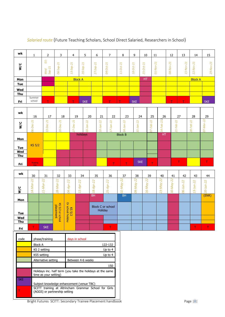| wk            |                  | ר<br>∠                                       | 3                                                                   | 4                                                                       | 5                                                                      | 6                                             |                                                 | 8                                                                                                        | 9                                                                               | 10                                           | 11                                                       | 12                     | 13                                              | 14                                        | 15                                              |
|---------------|------------------|----------------------------------------------|---------------------------------------------------------------------|-------------------------------------------------------------------------|------------------------------------------------------------------------|-----------------------------------------------|-------------------------------------------------|----------------------------------------------------------------------------------------------------------|---------------------------------------------------------------------------------|----------------------------------------------|----------------------------------------------------------|------------------------|-------------------------------------------------|-------------------------------------------|-------------------------------------------------|
| $\frac{C}{2}$ |                  | <sub>01</sub><br>1<br>$\sim$<br>Wed<br>Sep-2 | $\overline{ }$<br>$\sim$<br>$\mathbf{Q}$<br>$\sigma$<br>$\sim$<br>8 | $\overline{ }$<br>$\sim$<br>$\mathbf{Q}$<br>Se,<br>ന്<br>$\overline{ }$ | $\overline{ }$<br>$\sim$<br>Q<br>$\mathbf{C}$<br>$\sim$<br>Ć<br>$\sim$ | $\overline{ }$<br>$\mathbf{N}$<br>Sep-<br>27. | $\overline{ }$<br>$\sim$<br><b>Oct</b><br>$O4-$ | $\overline{ }$<br>$\sim$<br>ىە<br>O<br>$\overline{\phantom{1}}$<br>L<br>$\overline{ }$<br>$\overline{ }$ | $\overline{ }$<br>$\mathbf{N}$<br>Oct-<br>$\overline{\infty}$<br>$\overline{ }$ | $\overline{ }$<br>$\mathbf{N}$<br>Oct-<br>25 | $\overline{ }$<br>$\mathbf{N}$<br>Nov.<br>$\overline{c}$ | I<br>$\sim$<br>08-Nov- | $\overline{2}$<br>Ņον.<br>LÒ,<br>$\overline{ }$ | I<br>$\sim$<br>∽<br><<br>$\sim$<br>$\sim$ | $\overline{ }$<br>$\mathbf{N}$<br>$\sim$<br>29. |
| Mon           |                  |                                              |                                                                     | <b>Block A</b>                                                          |                                                                        |                                               |                                                 |                                                                                                          |                                                                                 | <b>HT</b>                                    |                                                          |                        |                                                 | <b>Block A</b>                            |                                                 |
| <b>Tue</b>    |                  |                                              |                                                                     |                                                                         |                                                                        |                                               |                                                 |                                                                                                          |                                                                                 |                                              |                                                          |                        |                                                 |                                           |                                                 |
| Wed           |                  |                                              |                                                                     |                                                                         |                                                                        |                                               |                                                 |                                                                                                          |                                                                                 |                                              |                                                          |                        |                                                 |                                           |                                                 |
| Thu           |                  |                                              |                                                                     |                                                                         |                                                                        |                                               |                                                 |                                                                                                          |                                                                                 |                                              |                                                          |                        |                                                 |                                           |                                                 |
| Fri           | Summer<br>school | $\mathbf{T}$                                 |                                                                     | $\mathbf \tau$                                                          | <b>SKE</b>                                                             |                                               | $\sim$                                          | $\mathbf \tau$                                                                                           | <b>SKE</b>                                                                      |                                              |                                                          | $\mathbf \tau$         | $\mathbf \tau$                                  |                                           | <b>SKE</b>                                      |

## *Salaried route* (Future Teaching Scholars, School Direct Salaried, Researchers in School)

| wk            | 16              | 17            | 18                  | 19                     | 20                                 | 21                                 | 22                                 | 23                       | 24                                                   | 25                                           | 26                               | 27                                        | 28                             | 29               |
|---------------|-----------------|---------------|---------------------|------------------------|------------------------------------|------------------------------------|------------------------------------|--------------------------|------------------------------------------------------|----------------------------------------------|----------------------------------|-------------------------------------------|--------------------------------|------------------|
| $\frac{C}{2}$ | ដ<br>96         | 21<br>13-Dec- | 21<br>Dec<br>$20 -$ | 21<br>7-Dec-<br>$\sim$ | $\overline{2}$<br>c<br>0<br>$\sim$ | $\overline{\mathcal{Z}}$<br>ä<br>g | $\overline{2}$<br>Ż<br>ħ<br>وسيبرد | $\overline{\mathcal{Z}}$ | $\overline{\mathcal{Z}}$<br>c<br>6<br>$\overline{5}$ | $\overline{2}$<br>ع<br>$\Omega$<br>$\bigcap$ | 21<br>$\sim$<br>ع<br>a<br>4<br>ت | $\overline{2}$<br>-Feb<br>$\overline{21}$ | 22<br>ಕಿ<br>Æ<br>$\frac{8}{2}$ | $\sim$<br>$\sim$ |
| Mon           |                 |               |                     |                        | holidays<br><b>Block B</b>         |                                    |                                    |                          |                                                      |                                              |                                  |                                           |                                |                  |
| Tue           | $KS$ 5/2        |               |                     |                        |                                    |                                    |                                    |                          |                                                      |                                              |                                  |                                           |                                |                  |
| Wed<br>Thu    |                 |               |                     |                        |                                    |                                    |                                    |                          |                                                      |                                              |                                  |                                           |                                |                  |
| Fri           | Reading<br>Day: |               |                     |                        |                                    |                                    | T                                  | $\mathbf \tau$           | <b>SKE</b>                                           | $\top$                                       |                                  | Τ                                         |                                | $\blacksquare$   |

| wk            | 30                                                                               | 31                                                           | 32                                             | 33                                         | 34                                            | 35                                                 | 36                           | 37              | 38                                                | 39                                                     | 40                                       | 41                                               | 42                                                      | 43                                             | 44                         |
|---------------|----------------------------------------------------------------------------------|--------------------------------------------------------------|------------------------------------------------|--------------------------------------------|-----------------------------------------------|----------------------------------------------------|------------------------------|-----------------|---------------------------------------------------|--------------------------------------------------------|------------------------------------------|--------------------------------------------------|---------------------------------------------------------|------------------------------------------------|----------------------------|
| $\frac{C}{2}$ | $\sim$<br>$\overline{\sim}$<br>∼<br>ГÓ,<br>2<br>$\overline{4}$<br>$\overline{ }$ | $\sim$<br>$\sim$<br>∼<br>Aa,<br>1<br>$\overline{\mathsf{N}}$ | $\sim$<br>$\mathbf{N}$<br>Nar<br>$\frac{8}{3}$ | $\sim$<br>$\sim$<br>n.<br>Apr<br>Ŕ         | 22<br>Apr<br>$\overline{ }$<br>$\overline{ }$ | $\sim$<br>$\sim$<br>÷<br>$\infty$<br>$\overline{}$ | $\sim$<br>$\sim$<br>Ln<br>Ni | 22<br>May.<br>Ŕ | $\sim$<br>$\sim$<br>èν<br>↽<br>$\sigma$<br>$\sim$ | 22<br>$\widetilde{a}$<br>↽<br><<br>Ó<br>$\overline{ }$ | $\overline{2}$<br>May.<br>ന്<br>$\sim$ i | $\sim$<br>$\sim$<br>↘<br>a<br>↽<br>Ć<br>$\infty$ | $\sim$<br>$\sim$<br>$\overline{\phantom{0}}$<br>┶<br>96 | $\sim$<br>$\sim$<br>$\infty$<br>$\overline{ }$ | $\sim$<br>$\sim$<br>$\sim$ |
| Mon           |                                                                                  |                                                              |                                                |                                            |                                               | <b>BH</b>                                          |                              | <b>BH</b>       |                                                   |                                                        |                                          |                                                  |                                                         |                                                | (ENR)                      |
| <b>Tue</b>    |                                                                                  |                                                              | 6<br>placement<br>5/2<br>$\mathsf{Q}$          | ó<br><b>school</b><br><u>ক</u><br>$\sigma$ |                                               | Holiday                                            | Block C or school            |                 |                                                   |                                                        |                                          |                                                  |                                                         |                                                |                            |
| Wed           |                                                                                  |                                                              | loohool                                        | <b>holiday</b><br>N                        |                                               |                                                    |                              |                 |                                                   |                                                        |                                          |                                                  |                                                         |                                                |                            |
| Thu           |                                                                                  |                                                              |                                                |                                            |                                               |                                                    |                              |                 |                                                   |                                                        |                                          |                                                  |                                                         |                                                |                            |
| Fri           | $\mathbf \tau$                                                                   | <b>SKE</b>                                                   |                                                |                                            |                                               |                                                    | $\mathbf{T}$                 |                 |                                                   |                                                        |                                          |                                                  |                                                         | т                                              | T                          |

| code       | phase/training                                                                         | days in school    |  |  |
|------------|----------------------------------------------------------------------------------------|-------------------|--|--|
|            | <b>Block A</b>                                                                         | 122-132           |  |  |
|            | KS 2 setting                                                                           | Up to 4           |  |  |
|            | KS5 setting                                                                            | Up to $4$         |  |  |
|            | Alternative setting                                                                    | Between 4-6 weeks |  |  |
|            |                                                                                        | 150               |  |  |
|            | Holidays inc. half term (you take the holidays at the same<br>time as your setting)    |                   |  |  |
| <b>SKE</b> | Subject knowledge enhancement (venue TBC)                                              |                   |  |  |
|            | SCITT training at Altrincham Grammar School for Girls<br>(AGGS) or partnership setting |                   |  |  |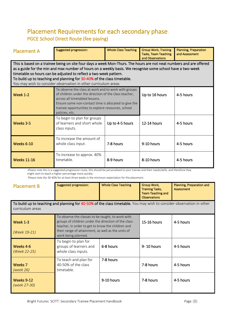## Placement Requirements for each secondary phase. PGCE School Direct Route (fee paying)

| <b>Placement A</b>                                                                                                                                                                                                                                                                                                                                                                                                                                                      | <b>Suggested progression:</b>                                                                                                                                                                                                                                                    | <b>Whole Class Teaching</b> | <b>Group Work, Training</b><br><b>Tasks, Team Teaching</b> | <b>Planning, Preparation</b><br>and Assessment   |  |  |  |
|-------------------------------------------------------------------------------------------------------------------------------------------------------------------------------------------------------------------------------------------------------------------------------------------------------------------------------------------------------------------------------------------------------------------------------------------------------------------------|----------------------------------------------------------------------------------------------------------------------------------------------------------------------------------------------------------------------------------------------------------------------------------|-----------------------------|------------------------------------------------------------|--------------------------------------------------|--|--|--|
| and Observations<br>This is based on a trainee being on site four days a week Mon-Thurs. The hours are not neat numbers and are offered<br>as a guide for the min and max number of hours on a weekly basis. We recognise some school have a two-week<br>timetable so hours can be adjusted to reflect a two week pattern.<br>To build up to teaching and planning for 30-40% of the class timetable.<br>You may wish to consider observation in other curriculum areas |                                                                                                                                                                                                                                                                                  |                             |                                                            |                                                  |  |  |  |
| <b>Week 1-2</b>                                                                                                                                                                                                                                                                                                                                                                                                                                                         | To observe the class at work and to work with groups<br>of children under the direction of the class teacher,<br>across all timetabled lessons.<br>Ensure some non-contact time is allocated to give the<br>trainee opportunities to explore resources, school<br>policies, etc. |                             | Up to 16 hours                                             | 4-5 hours                                        |  |  |  |
| Weeks 3-5                                                                                                                                                                                                                                                                                                                                                                                                                                                               | To begin to plan for groups<br>of learners and short whole<br>class inputs.                                                                                                                                                                                                      | Up to 4-5 hours             | 12-14 hours                                                | 4-5 hours                                        |  |  |  |
| <b>Weeks 6-10</b>                                                                                                                                                                                                                                                                                                                                                                                                                                                       | To increase the amount of<br>whole class input.                                                                                                                                                                                                                                  | 7-8 hours                   | 9-10 hours                                                 | 4-5 hours                                        |  |  |  |
| <b>Weeks 11-16</b>                                                                                                                                                                                                                                                                                                                                                                                                                                                      | To increase to approx. 40%<br>timetable.                                                                                                                                                                                                                                         | 8-9 hours                   | 8-10 hours                                                 | 4-5 hours                                        |  |  |  |
| -Please note this is a suggested progression route, this should be personalised to your trainee and their needs/skills, and therefore they<br>might start to teach a higher percentage more quickly.<br>-Please note the 30-40% for at least three weeks is the minimum expectation for the placement.                                                                                                                                                                  |                                                                                                                                                                                                                                                                                  |                             |                                                            |                                                  |  |  |  |
| <b>Placement B</b>                                                                                                                                                                                                                                                                                                                                                                                                                                                      | <b>Suggested progression:</b>                                                                                                                                                                                                                                                    | <b>Whole Class Teaching</b> | Group Work,<br>Training Tacks                              | Planning, Preparation and<br>$\Lambda$ ccccccoch |  |  |  |

|                                                                                                                       |  |  | <b>Training Tasks,</b><br>Team Teaching and<br><b>Observations</b> | Assessment |  |  |
|-----------------------------------------------------------------------------------------------------------------------|--|--|--------------------------------------------------------------------|------------|--|--|
| To build up to teaching and planning for 40-50% of the class timetable. You may wish to consider observation in other |  |  |                                                                    |            |  |  |

| curriculum areas                |                                                                                                                                                                                                                                            |            |             |           |  |  |
|---------------------------------|--------------------------------------------------------------------------------------------------------------------------------------------------------------------------------------------------------------------------------------------|------------|-------------|-----------|--|--|
| <b>Week 1-3</b><br>(Week 19-21) | To observe the classes to be taught, to work with<br>groups of children under the direction of the class<br>teacher, in order to get to know the children and<br>their range of attainment, as well as the units of<br>work being planned. |            | 15-16 hours | 4-5 hours |  |  |
| Weeks 4-6<br>(Week 22-25)       | To begin to plan for<br>groups of learners and<br>whole class inputs.                                                                                                                                                                      | 6-8 hours  | 9-10 hours  | 4-5 hours |  |  |
| Weeks <sub>7</sub><br>(week 26) | To teach and plan for<br>40-50% of the class<br>timetable.                                                                                                                                                                                 | 7-8 hours  | 7-8 hours   | 4-5 hours |  |  |
| Weeks 9-12<br>(week 27-30)      |                                                                                                                                                                                                                                            | 9-10 hours | 7-8 hours   | 4-5 hours |  |  |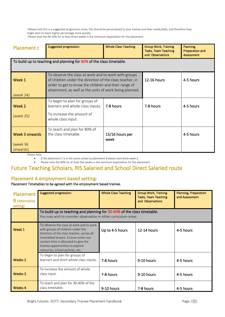-Please note this is a suggested progression route, this should be personalised to your trainee-and their needs/skills, and therefore they might start to teach higher percentage more quickly.

-Please note the 40-50% for at least three weeks is the minimum expectation for the placement

| Placement c                | <b>Suggested progression:</b>                                                                                                                                                                                                       | <b>Whole Class Teaching</b> | <b>Group Work, Training</b><br><b>Tasks, Team Teaching</b><br>and Observations | Planning,<br>Preparation and<br><b>Assessment</b> |  |  |  |  |
|----------------------------|-------------------------------------------------------------------------------------------------------------------------------------------------------------------------------------------------------------------------------------|-----------------------------|--------------------------------------------------------------------------------|---------------------------------------------------|--|--|--|--|
|                            | To build up to teaching and planning for 80% of the class timetable.                                                                                                                                                                |                             |                                                                                |                                                   |  |  |  |  |
| Week 1                     | To observe the class at work and to work with groups<br>of children under the direction of the class teacher, in<br>order to get to know the children and their range of<br>attainment, as well as the units of work being planned. | 12-16 hours                 | 4-5 hours                                                                      |                                                   |  |  |  |  |
| (week 34)                  |                                                                                                                                                                                                                                     |                             |                                                                                |                                                   |  |  |  |  |
| Week 2                     | To begin to plan for groups of<br>learners and whole class inputs.                                                                                                                                                                  | 7-8 hours                   | 7-8 hours                                                                      | 4-5 hours                                         |  |  |  |  |
| (week 35)                  | To increase the amount of<br>whole class input.                                                                                                                                                                                     |                             |                                                                                |                                                   |  |  |  |  |
| Week 3 onwards<br>(week 36 | To teach and plan for 80% of<br>the class timetable.                                                                                                                                                                                | 15/16 hours per<br>week     |                                                                                | 4-5 hours                                         |  |  |  |  |
| onwards)                   |                                                                                                                                                                                                                                     |                             |                                                                                |                                                   |  |  |  |  |

Please note:

• *If the placement C is in the same school as placement B please start from week 2.* 

• Please note the 80% for at least five weeks is the minimum expectation for the placement.

## Future Teaching Scholars, RIS Salaried and School Direct Salaried route

#### Placement A employment based setting:

#### Placement Timetables to be agreed with the employment based trainee.

| Placement<br><b>B</b> (Alternative<br>setting) | <b>Suggested progression:</b>                                                                                                                                                                                                                                                        | <b>Whole Class Teaching</b> | <b>Group Work, Training</b><br><b>Tasks, Team Teaching</b><br>and Observations | <b>Planning, Preparation</b><br>and Assessment |
|------------------------------------------------|--------------------------------------------------------------------------------------------------------------------------------------------------------------------------------------------------------------------------------------------------------------------------------------|-----------------------------|--------------------------------------------------------------------------------|------------------------------------------------|
|                                                | To build up to teaching and planning for 30-40% of the class timetable.<br>You may wish to consider observation in other curriculum areas                                                                                                                                            |                             |                                                                                |                                                |
| Week 1                                         | To observe the class at work and to work<br>with groups of children under the<br>direction of the class teacher, across all<br>timetabled lessons. Ensure some non-<br>contact time is allocated to give the<br>trainee opportunities to explore<br>resources, school policies, etc. | Up to 4-5 hours             | $12-14$ hours                                                                  | 4-5 hours                                      |
| Weeks 2                                        | To begin to plan for groups of<br>learners and short whole class inputs.                                                                                                                                                                                                             | 7-8 hours                   | 9-10 hours                                                                     | 4-5 hours                                      |
| Weeks 3                                        | To increase the amount of whole<br>class input.                                                                                                                                                                                                                                      | 7-8 hours                   | 9-10 hours                                                                     | 4-5 hours                                      |
| Weeks 4                                        | To teach and plan for 30-40% of the<br>class timetable.                                                                                                                                                                                                                              | 9-10 hours                  | 7-8 hours                                                                      | 4-5 hours                                      |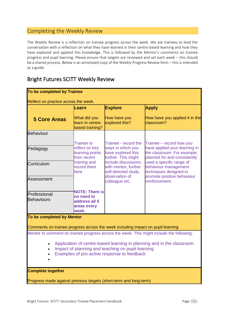## Completing the Weekly Review

The Weekly Review is a reflection on trainee progress across the week. We ask trainees to lead the conversation with a reflection on what they have learned in their centre-based learning and how they have explored and applied this knowledge. This is followed by the Mentor's comments on trainee progress and pupil learning. Please ensure that targets are reviewed and set each week – this should be a shared process. Below is an annotated copy of the Weekly Progress Review form – this is intended as a guide.

## Bright Futures SCITT Weekly Review

| Reflect on practice across the week.                                                                                                                                       |                                                                              |                                                                                       |                                                                                                          |  |  |  |
|----------------------------------------------------------------------------------------------------------------------------------------------------------------------------|------------------------------------------------------------------------------|---------------------------------------------------------------------------------------|----------------------------------------------------------------------------------------------------------|--|--|--|
|                                                                                                                                                                            | Learn                                                                        | <b>Explore</b>                                                                        | <b>Apply</b>                                                                                             |  |  |  |
| <b>5 Core Areas</b>                                                                                                                                                        | What did you<br>learn in centre-<br>based training?                          | How have you<br>explored this?                                                        | How have you applied it in the<br>classroom?                                                             |  |  |  |
| <b>Behaviour</b>                                                                                                                                                           | <b>Trainee to</b>                                                            | Trainee - record the                                                                  | Trainee - record how you                                                                                 |  |  |  |
| Pedagogy                                                                                                                                                                   | reflect on key<br>learning points<br>from recent                             | ways in which you<br>have explored this<br>further. This might                        | have applied your learning in<br>the classroom. For example,<br>planned for and consistently             |  |  |  |
| Curriculum                                                                                                                                                                 | training and<br>record them<br>here                                          | include discussions<br>with mentor, further<br>self-directed study,<br>observation of | used a specific range of<br>behaviour management<br>techniques designed to<br>promote positive behaviour |  |  |  |
| <b>Assessment</b>                                                                                                                                                          |                                                                              | colleague etc.                                                                        | reinforcement.                                                                                           |  |  |  |
| Professional<br><b>Behaviours</b>                                                                                                                                          | <b>NOTE: There is</b><br>no need to<br>address all 5<br>areas every<br>week. |                                                                                       |                                                                                                          |  |  |  |
| To be completed by Mentor                                                                                                                                                  |                                                                              |                                                                                       |                                                                                                          |  |  |  |
| Comments on trainee progress across the week including impact on pupil learning                                                                                            |                                                                              |                                                                                       |                                                                                                          |  |  |  |
|                                                                                                                                                                            |                                                                              |                                                                                       | Mentor to comment on trainee progress across the week. This might include the following:                 |  |  |  |
| Application of centre-based learning in planning and in the classroom.<br>Impact of planning and teaching on pupil learning<br>Examples of pro-active response to feedback |                                                                              |                                                                                       |                                                                                                          |  |  |  |
| <b>Complete together</b>                                                                                                                                                   |                                                                              |                                                                                       |                                                                                                          |  |  |  |
| Progress made against previous targets (short-term and long-term)                                                                                                          |                                                                              |                                                                                       |                                                                                                          |  |  |  |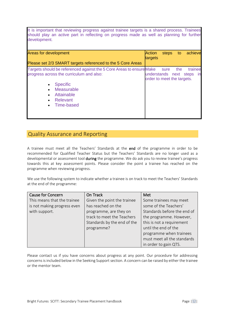It is important that reviewing progress against trainee targets is a shared process. Trainees should play an active part in reflecting on progress made as well as planning for further development.

| <b>Areas for development</b>                                                                                                                                                                                                                                    | Action<br>targets                                    | steps to |     | achieve         |
|-----------------------------------------------------------------------------------------------------------------------------------------------------------------------------------------------------------------------------------------------------------------|------------------------------------------------------|----------|-----|-----------------|
| Please set 2/3 SMART targets referenced to the 5 Core Areas                                                                                                                                                                                                     |                                                      |          |     |                 |
| Targets should be referenced against the 5 Core Areas to ensure Make sure<br>progress across the curriculum and also:<br><b>Specific</b><br>$\bullet$<br>Measurable<br>$\bullet$<br>Attainable<br>$\bullet$<br>Relevant<br>$\bullet$<br>Time-based<br>$\bullet$ | understands next steps<br>order to meet the targets. |          | the | trainee<br>- in |

#### Quality Assurance and Reporting

A trainee must meet all the Teachers' Standards at the end of the programme in order to be recommended for Qualified Teacher Status but the Teachers' Standards are no longer used as a developmental or assessment tool during the programme. We do ask you to review trainee's progress towards this at key assessment points. Please consider the point a trainee has reached on the programme when reviewing progress.

We use the following system to indicate whether a trainee is on track to meet the Teachers' Standards at the end of the programme:

| <b>Cause for Concern</b>    | On Track                    | Met                         |
|-----------------------------|-----------------------------|-----------------------------|
| This means that the trainee | Given the point the trainee | Some trainees may meet      |
| is not making progress even | has reached on the          | some of the Teachers'       |
| with support.               | programme, are they on      | Standards before the end of |
|                             | track to meet the Teachers  | the programme. However,     |
|                             | Standards by the end of the | this is not a requirement   |
|                             | programme?                  | until the end of the        |
|                             |                             | programme when trainees     |
|                             |                             | must meet all the standards |
|                             |                             | in order to gain QTS.       |

Please contact us if you have concerns about progress at any point. Our procedure for addressing concerns is included below in the Seeking Support section. A concern can be raised by either the trainee or the mentor team.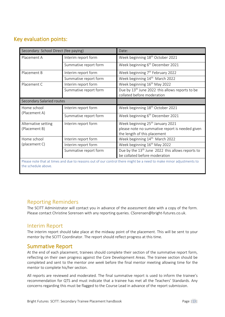## Key evaluation points:

| Secondary School Direct (fee paying) | Date:                                                                                                                           |
|--------------------------------------|---------------------------------------------------------------------------------------------------------------------------------|
| Interim report form                  | Week beginning 18 <sup>th</sup> October 2021                                                                                    |
| Summative report form                | Week beginning 6 <sup>th</sup> December 2021                                                                                    |
| Interim report form                  | Week beginning 7 <sup>th</sup> February 2022                                                                                    |
| Summative report form                | Week beginning 14 <sup>th</sup> March 2022                                                                                      |
| Interim report form                  | Week beginning 16 <sup>th</sup> May 2022                                                                                        |
| Summative report form                | Due by 13 <sup>th</sup> June 2022 this allows reports to be<br>collated before moderation                                       |
| Secondary Salaried routes            |                                                                                                                                 |
| Interim report form                  | Week beginning 18 <sup>th</sup> October 2021                                                                                    |
| Summative report form                | Week beginning 6 <sup>th</sup> December 2021                                                                                    |
| Interim report form                  | Week beginning 25 <sup>th</sup> January 2021<br>please note no summative report is needed given<br>the length of this placement |
| Interim report form                  | Week beginning 14 <sup>th</sup> March 2022                                                                                      |
| Interim report form                  | Week beginning 16 <sup>th</sup> May 2022                                                                                        |
| Summative report form                | Due by the 13 <sup>th</sup> June 2022 this allows reports to                                                                    |
|                                      |                                                                                                                                 |

Please note that at times and due to reasons out of our control there might be a need to make minor adjustments to the schedule above.

## Reporting Reminders

The SCITT Administrator will contact you in advance of the assessment date with a copy of the form. Please contact Christine Sorensen with any reporting queries. CSorensen@bright-futures.co.uk.

#### Interim Report

The interim report should take place at the midway point of the placement. This will be sent to your mentor by the SCITT Coordinator. The report should reflect progress at this time.

## Summative Report

At the end of each placement, trainees should complete their section of the summative report form, reflecting on their own progress against the Core Development Areas. The trainee section should be completed and sent to the mentor *one week* before the final mentor meeting allowing time for the mentor to complete his/her section.

All reports are reviewed and moderated. The final summative report is used to inform the trainee's recommendation for QTS and must indicate that a trainee has met all the Teachers' Standards. Any concerns regarding this must be flagged to the Course Lead in advance of the report submission.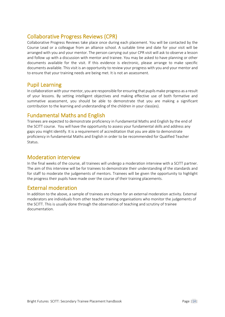## Collaborative Progress Reviews (CPR)

Collaborative Progress Reviews take place once during each placement. You will be contacted by the Course Lead or a colleague from an alliance school. A suitable time and date for your visit will be arranged with you and your mentor. The person carrying out your CPR visit will ask to observe a lesson and follow up with a discussion with mentor and trainee. You may be asked to have planning or other documents available for the visit. If this evidence is electronic, please arrange to make specific documents available. This visit is an opportunity to review your progress with you and your mentor and to ensure that your training needs are being met. It is not an assessment.

### Pupil Learning

In collaboration with your mentor, you are responsible for ensuring that pupils make progress as a result of your lessons. By setting intelligent objectives and making effective use of both formative and summative assessment, you should be able to demonstrate that you are making a significant contribution to the learning and understanding of the children in your class(es).

## Fundamental Maths and English

Trainees are expected to demonstrate proficiency in Fundamental Maths and English by the end of the SCITT course. You will have the opportunity to assess your fundamental skills and address any gaps you might identify. It is a requirement of accreditation that you are able to demonstrate proficiency in fundamental Maths and English in order to be recommended for Qualified Teacher Status.

#### Moderation interview

In the final weeks of the course, all trainees will undergo a moderation interview with a SCITT partner. The aim of this interview will be for trainees to demonstrate their understanding of the standards and for staff to moderate the judgements of mentors. Trainees will be given the opportunity to highlight the progress their pupils have made over the course of their training placements.

## External moderation

In addition to the above, a sample of trainees are chosen for an external moderation activity. External moderators are individuals from other teacher training organisations who monitor the judgements of the SCITT. This is usually done through the observation of teaching and scrutiny of trainee documentation.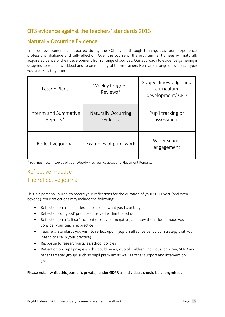## QTS evidence against the teachers' standards 2013

## Naturally Occurring Evidence

Trainee development is supported during the SCITT year through training, classroom experience, professional dialogue and self-reflection. Over the course of the programme, trainees will naturally acquire evidence of their development from a range of sources. Our approach to evidence gathering is designed to reduce workload and to be meaningful to the trainee. Here are a range of evidence types you are likely to gather:

| Lesson Plans                      | <b>Weekly Progress</b><br>Reviews*     | Subject knowledge and<br>curriculum<br>development/CPD |
|-----------------------------------|----------------------------------------|--------------------------------------------------------|
| Interim and Summative<br>Reports* | <b>Naturally Occurring</b><br>Evidence | Pupil tracking or<br>assessment                        |
| Reflective journal                | Examples of pupil work                 | Wider school<br>engagement                             |

\*You must retain copies of your Weekly Progress Reviews and Placement Reports.

## Reflective Practice The reflective journal

This is a personal journal to record your reflections for the duration of your SCITT year (and even beyond). Your reflections may include the following:

- Reflection on a specific lesson based on what you have taught
- Reflections of 'good' practice observed within the school
- Reflection on a 'critical' incident (positive or negative) and how the incident made you consider your teaching practice
- Teachers' standards you wish to reflect upon, (e.g. an effective behaviour strategy that you intend to use in your practice)
- Response to research/articles/school policies
- Reflection on pupil progress this could be a group of children, individual children, SEND and other targeted groups such as pupil premium as well as other support and intervention groups

#### Please note - whilst this journal is private, under GDPR all individuals should be anonymised.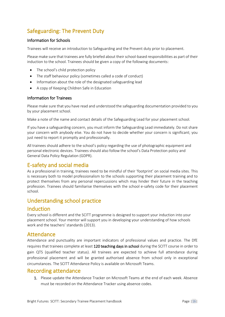## Safeguarding: The Prevent Duty

#### Information for Schools

Trainees will receive an introduction to Safeguarding and the Prevent duty prior to placement.

Please make sure that trainees are fully briefed about their school-based responsibilities as part of their induction to the school. Trainees should be given a copy of the following documents:

- The school's child protection policy
- The staff behaviour policy (sometimes called a code of conduct)
- Information about the role of the designated safeguarding lead
- A copy of Keeping Children Safe in Education

#### Information for Trainees

Please make sure that you have read and understood the safeguarding documentation provided to you by your placement school.

Make a note of the name and contact details of the Safeguarding Lead for your placement school.

If you have a safeguarding concern, you must inform the Safeguarding Lead immediately. Do not share your concern with anybody else. You do not have to decide whether your concern is significant; you just need to report it promptly and professionally.

All trainees should adhere to the school's policy regarding the use of photographic equipment and personal electronic devices. Trainees should also follow the school's Data Protection policy and General Data Policy Regulation (GDPR).

## E-safety and social media

As a professional in training, trainees need to be mindful of their 'footprint' on social media sites. This is necessary both to model professionalism to the schools supporting their placement training and to protect themselves from any personal repercussions which may hinder their future in the teaching profession. Trainees should familiarise themselves with the school e-safety code for their placement school.

## Understanding school practice

#### Induction

Every school is different and the SCITT programme is designed to support your induction into your placement school. Your mentor will support you in developing your understanding of how schools work and the teachers' standards (2013).

## Attendance

Attendance and punctuality are important indicators of professional values and practice. The DfE requires that trainees complete at least 120 teaching days in school during the SCITT course in order to gain QTS (qualified teacher status). All trainees are expected to achieve full attendance during professional placement and will be granted authorised absence from school only in exceptional circumstances. The SCITT Attendance Policy is available on Microsoft Teams.

#### Recording attendance

1. Please update the Attendance Tracker on Microsoft Teams at the end of each week. Absence must be recorded on the Attendance Tracker using absence codes.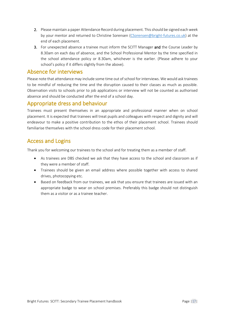- 2. Please maintain a paper Attendance Record during placement. This should be signed each week by your mentor and returned to Christine Sorensen [\(CSorensen@bright-futures.co.uk\)](mailto:CSorensen@bright-futures.co.uk) at the end of each placement.
- 3. For unexpected absence a trainee must inform the SCITT Manager and the Course Leader by 8.30am on each day of absence, and the School Professional Mentor by the time specified in the school attendance policy or 8.30am, whichever is the earlier. (Please adhere to your school's policy if it differs slightly from the above).

## Absence for interviews

Please note that attendance may include some time out of school for interviews. We would ask trainees to be mindful of reducing the time and the disruption caused to their classes as much as possible. Observation visits to schools prior to job applications or interview will not be counted as authorised absence and should be conducted after the end of a school day.

## Appropriate dress and behaviour

Trainees must present themselves in an appropriate and professional manner when on school placement. It is expected that trainees will treat pupils and colleagues with respect and dignity and will endeavour to make a positive contribution to the ethos of their placement school. Trainees should familiarise themselves with the school dress code for their placement school.

## Access and Logins

Thank you for welcoming our trainees to the school and for treating them as a member of staff.

- As trainees are DBS checked we ask that they have access to the school and classroom as if they were a member of staff.
- Trainees should be given an email address where possible together with access to shared drives, photocopying etc.
- Based on feedback from our trainees, we ask that you ensure that trainees are issued with an appropriate badge to wear on school premises. Preferably this badge should not distinguish them as a visitor or as a trainee teacher.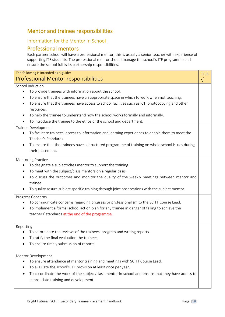## Mentor and trainee responsibilities

## Information for the Mentor in School

## Professional mentors

Each partner school will have a professional mentor, this is usually a senior teacher with experience of supporting ITE students. The professional mentor should manage the school's ITE programme and ensure the school fulfils its partnership responsibilities.

| The following is intended as a guide:                                                                                                                               |                          |
|---------------------------------------------------------------------------------------------------------------------------------------------------------------------|--------------------------|
| Professional Mentor responsibilities                                                                                                                                | <b>Tick</b><br>$\sqrt{}$ |
| School Induction                                                                                                                                                    |                          |
| To provide trainees with information about the school.<br>$\bullet$                                                                                                 |                          |
| To ensure that the trainees have an appropriate space in which to work when not teaching.<br>٠                                                                      |                          |
| To ensure that the trainees have access to school facilities such as ICT, photocopying and other<br>resources.                                                      |                          |
|                                                                                                                                                                     |                          |
| To help the trainee to understand how the school works formally and informally.<br>$\bullet$<br>To introduce the trainee to the ethos of the school and department. |                          |
|                                                                                                                                                                     |                          |
| Trainee Development                                                                                                                                                 |                          |
| To facilitate trainees' access to information and learning experiences to enable them to meet the                                                                   |                          |
| Teacher's Standards.                                                                                                                                                |                          |
| To ensure that the trainees have a structured programme of training on whole school issues during                                                                   |                          |
| their placement.                                                                                                                                                    |                          |
| <b>Mentoring Practice</b>                                                                                                                                           |                          |
| To designate a subject/class mentor to support the training.                                                                                                        |                          |
| To meet with the subject/class mentors on a regular basis.<br>$\bullet$                                                                                             |                          |
| To discuss the outcomes and monitor the quality of the weekly meetings between mentor and                                                                           |                          |
| trainee.                                                                                                                                                            |                          |
| To quality assure subject specific training through joint observations with the subject mentor.                                                                     |                          |
| Progress Concerns                                                                                                                                                   |                          |
| To communicate concerns regarding progress or professionalism to the SCITT Course Lead.                                                                             |                          |
| To implement a formal school action plan for any trainee in danger of failing to achieve the<br>$\bullet$                                                           |                          |
| teachers' standards at the end of the programme.                                                                                                                    |                          |
|                                                                                                                                                                     |                          |
| Reporting                                                                                                                                                           |                          |
| To co-ordinate the reviews of the trainees' progress and writing reports.                                                                                           |                          |
| To ratify the final evaluation the trainees.                                                                                                                        |                          |
| To ensure timely submission of reports.                                                                                                                             |                          |
|                                                                                                                                                                     |                          |
| Mentor Development                                                                                                                                                  |                          |
| To ensure attendance at mentor training and meetings with SCITT Course Lead.                                                                                        |                          |
| To evaluate the school's ITE provision at least once per year.                                                                                                      |                          |
| To co-ordinate the work of the subject/class mentor in school and ensure that they have access to                                                                   |                          |
| appropriate training and development.                                                                                                                               |                          |
|                                                                                                                                                                     |                          |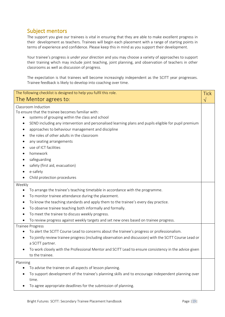## Subject mentors

The support you give our trainees is vital in ensuring that they are able to make excellent progress in their development as teachers. Trainees will begin each placement with a range of starting points in terms of experience and confidence. Please keep this in mind as you support their development.

Your trainee's progress *is under your direction* and you may choose a variety of approaches to support their training which may include joint teaching, joint planning, and observation of teachers in other classrooms as well as discussion of progress.

The expectation is that trainees will become increasingly independent as the SCITT year progresses. Trainee feedback is likely to develop into coaching over time.

| The following checklist is designed to help you fulfil this role.                                                                                                                                                                                                                                                                                                                                                                                                                                                         |  |
|---------------------------------------------------------------------------------------------------------------------------------------------------------------------------------------------------------------------------------------------------------------------------------------------------------------------------------------------------------------------------------------------------------------------------------------------------------------------------------------------------------------------------|--|
| The Mentor agrees to:                                                                                                                                                                                                                                                                                                                                                                                                                                                                                                     |  |
| Classroom Induction<br>To ensure that the trainee becomes familiar with:<br>systems of grouping within the class and school<br>٠<br>SEND including any intervention and personalised learning plans and pupils eligible for pupil premium<br>٠<br>approaches to behaviour management and discipline<br>٠<br>the roles of other adults in the classroom<br>any seating arrangements<br>use of ICT facilities<br>٠<br>homework<br>safeguarding<br>safety (first aid, evacuation)<br>e-safety<br>Child protection procedures |  |
| Weekly<br>To arrange the trainee's teaching timetable in accordance with the programme.<br>To monitor trainee attendance during the placement.<br>٠<br>To know the teaching standards and apply them to the trainee's every day practice.<br>٠<br>To observe trainee teaching both informally and formally.<br>To meet the trainee to discuss weekly progress.<br>٠<br>To review progress against weekly targets and set new ones based on trainee progress.                                                              |  |
| <b>Trainee Progress</b><br>To alert the SCITT Course Lead to concerns about the trainee's progress or professionalism.<br>To jointly review trainee progress (including observation and discussion) with the SCITT Course Lead or<br>a SCITT partner.<br>To work closely with the Professional Mentor and SCITT Lead to ensure consistency in the advice given<br>to the trainee.                                                                                                                                         |  |
| Planning<br>To advise the trainee on all aspects of lesson planning.<br>To support development of the trainee's planning skills and to encourage independent planning over<br>time.<br>To agree appropriate deadlines for the submission of planning.                                                                                                                                                                                                                                                                     |  |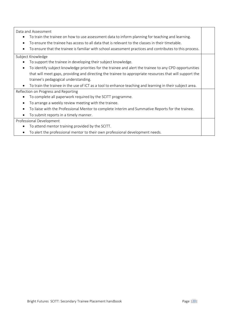Data and Assessment

- To train the trainee on how to use assessment data to inform planning for teaching and learning.
- To ensure the trainee has access to all data that is relevant to the classes in their timetable.
- To ensure that the trainee is familiar with school assessment practices and contributes to this process.

#### Subject Knowledge

- To support the trainee in developing their subject knowledge.
- To identify subject knowledge priorities for the trainee and alert the trainee to any CPD opportunities that will meet gaps, providing and directing the trainee to appropriate resources that will support the trainee's pedagogical understanding.
- To train the trainee in the use of ICT as a tool to enhance teaching and learning in their subject area.

#### Reflection on Progress and Reporting

- To complete all paperwork required by the SCITT programme.
- To arrange a weekly review meeting with the trainee.
- To liaise with the Professional Mentor to complete Interim and Summative Reports for the trainee.
- To submit reports in a timely manner.

#### Professional Development

- To attend mentor training provided by the SCITT.
- To alert the professional mentor to their own professional development needs.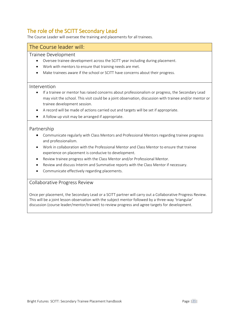## The role of the SCITT Secondary Lead

The Course Leader will oversee the training and placements for all trainees.

#### The Course leader will:

#### Trainee Development

- Oversee trainee development across the SCITT year including during placement.
- Work with mentors to ensure that training needs are met.
- Make trainees aware if the school or SCITT have concerns about their progress.

#### Intervention

- If a trainee or mentor has raised concerns about professionalism or progress, the Secondary Lead may visit the school. This visit could be a joint observation, discussion with trainee and/or mentor or trainee development session.
- A record will be made of actions carried out and targets will be set if appropriate.
- A follow up visit may be arranged if appropriate.

#### Partnership

- Communicate regularly with Class Mentors and Professional Mentors regarding trainee progress and professionalism.
- Work in collaboration with the Professional Mentor and Class Mentor to ensure that trainee experience on placement is conducive to development.
- Review trainee progress with the Class Mentor and/or Professional Mentor.
- Review and discuss Interim and Summative reports with the Class Mentor if necessary.
- Communicate effectively regarding placements.

#### Collaborative Progress Review

Once per placement, the Secondary Lead or a SCITT partner will carry out a Collaborative Progress Review. This will be a joint lesson observation with the subject mentor followed by a three-way 'triangular' discussion (course leader/mentor/trainee) to review progress and agree targets for development.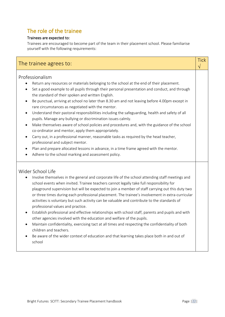## The role of the trainee

#### Trainees are expected to:

Trainees are encouraged to become part of the team in their placement school. Please familiarise yourself with the following requirements:

| The trainee agrees to:                                                                                                                                                                                                                                                                                                                                                                                                                                                                                                                                                                                                                                                                                                                                                                                                                                                                                                                                                                                                                                                                           | <b>Tick</b><br>V |
|--------------------------------------------------------------------------------------------------------------------------------------------------------------------------------------------------------------------------------------------------------------------------------------------------------------------------------------------------------------------------------------------------------------------------------------------------------------------------------------------------------------------------------------------------------------------------------------------------------------------------------------------------------------------------------------------------------------------------------------------------------------------------------------------------------------------------------------------------------------------------------------------------------------------------------------------------------------------------------------------------------------------------------------------------------------------------------------------------|------------------|
| Professionalism<br>Return any resources or materials belonging to the school at the end of their placement.<br>Set a good example to all pupils through their personal presentation and conduct, and through<br>$\bullet$<br>the standard of their spoken and written English.<br>Be punctual, arriving at school no later than 8.30 am and not leaving before 4.00pm except in<br>$\bullet$<br>rare circumstances as negotiated with the mentor.<br>Understand their pastoral responsibilities including the safeguarding, health and safety of all<br>$\bullet$<br>pupils. Manage any bullying or discrimination issues calmly.<br>Make themselves aware of school policies and procedures and, with the guidance of the school<br>$\bullet$<br>co-ordinator and mentor, apply them appropriately.<br>Carry out, in a professional manner, reasonable tasks as required by the head teacher,<br>$\bullet$<br>professional and subject mentor.<br>Plan and prepare allocated lessons in advance, in a time frame agreed with the mentor.<br>Adhere to the school marking and assessment policy. |                  |
| Wider School Life<br>Involve themselves in the general and corporate life of the school attending staff meetings and<br>school events when invited. Trainee teachers cannot legally take full responsibility for<br>playground supervision but will be expected to join a member of staff carrying out this duty two<br>or three times during each professional placement. The trainee's involvement in extra-curricular<br>activities is voluntary but such activity can be valuable and contribute to the standards of<br>professional values and practice.<br>Establish professional and effective relationships with school staff, parents and pupils and with<br>$\bullet$<br>other agencies involved with the education and welfare of the pupils.<br>Maintain confidentiality, exercising tact at all times and respecting the confidentiality of both<br>٠<br>children and teachers.<br>Be aware of the wider context of education and that learning takes place both in and out of<br>school                                                                                            |                  |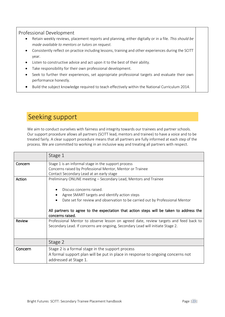#### Professional Development

- Retain weekly reviews, placement reports and planning, either digitally or in a file. *This should be made available to mentors or tutors on request.*
- Consistently reflect on practice including lessons, training and other experiences during the SCITT year.
- Listen to constructive advice and act upon it to the best of their ability.
- Take responsibility for their own professional development.
- Seek to further their experiences, set appropriate professional targets and evaluate their own performance honestly.
- Build the subject knowledge required to teach effectively within the National Curriculum 2014.

## Seeking support

We aim to conduct ourselves with fairness and integrity towards our trainees and partner schools. Our support procedure allows all partners (SCITT lead, mentors and trainee) to have a voice and to be treated fairly. A clear support procedure means that all partners are fully informed at each step of the process. We are committed to working in an inclusive way and treating all partners with respect.

|         | Stage 1                                                                                                                                                                                                                                                                                                                                      |
|---------|----------------------------------------------------------------------------------------------------------------------------------------------------------------------------------------------------------------------------------------------------------------------------------------------------------------------------------------------|
| Concern | Stage 1 is an informal stage in the support process<br>Concerns raised by Professional Mentor, Mentor or Trainee<br>Contact Secondary Lead at an early stage                                                                                                                                                                                 |
| Action  | Preliminary ONLINE meeting - Secondary Lead, Mentors and Trainee<br>Discuss concerns raised.<br>Agree SMART targets and identify action steps<br>Date set for review and observation to be carried out by Professional Mentor<br>All partners to agree to the expectation that action steps will be taken to address the<br>concerns raised. |
| Review  | Professional Mentor to observe lesson on agreed date, review targets and feed back to<br>Secondary Lead. If concerns are ongoing, Secondary Lead will initiate Stage 2.                                                                                                                                                                      |
|         | Stage 2                                                                                                                                                                                                                                                                                                                                      |
| Concern | Stage 2 is a formal stage in the support process<br>A formal support plan will be put in place in response to ongoing concerns not<br>addressed at Stage 1.                                                                                                                                                                                  |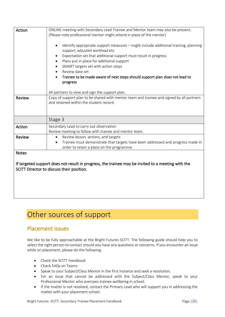| Action        | ONLINE meeting with Secondary Lead Trainee and Mentor team may also be present.<br>(Please note professional mentor might attend in place of the mentor)                                                                                                                                                                                                                                                 |
|---------------|----------------------------------------------------------------------------------------------------------------------------------------------------------------------------------------------------------------------------------------------------------------------------------------------------------------------------------------------------------------------------------------------------------|
|               | Identify appropriate support measures - might include additional training, planning<br>$\bullet$<br>support, adjusted workload etc.<br>Expectation set that additional support must result in progress<br>Plans put in place for additional support<br>SMART targets set with action steps<br>Review date set<br>Trainee to be made aware of next steps should support plan does not lead to<br>progress |
|               | All partners to view and sign the support plan.                                                                                                                                                                                                                                                                                                                                                          |
| Review        | Copy of support plan to be shared with mentor team and trainee and signed by all partners<br>and retained within the student record.                                                                                                                                                                                                                                                                     |
|               | Stage 3                                                                                                                                                                                                                                                                                                                                                                                                  |
| Action        | Secondary Lead to carry out observation<br>Review meeting to follow with trainee and mentor team.                                                                                                                                                                                                                                                                                                        |
| <b>Review</b> | Review lesson, actions, and targets<br>$\bullet$                                                                                                                                                                                                                                                                                                                                                         |
|               | Trainee must demonstrate that targets have been addressed and progress made in<br>$\bullet$<br>order to retain a place on the programme                                                                                                                                                                                                                                                                  |
| <b>Notes</b>  |                                                                                                                                                                                                                                                                                                                                                                                                          |
|               | 10 magazina di concertamente della magazina fundazione della magazina di controllere di magazina della magazin                                                                                                                                                                                                                                                                                           |

If targeted support does not result in progress, the trainee may be invited to a meeting with the SCITT Director to discuss their position.

## Other sources of support

## Placement issues

We like to be fully approachable at the Bright Futures SCITT. The following guide should help you to select the right person to contact should you have any questions or concerns. If you encounter an issue while on placement, please do the following.

- Check the SCITT Handbook
- Check FAQs on Teams
- Speak to your Subject/Class Mentor in the first instance and seek a resolution.
- For an issue that cannot be addressed with the Subject/Class Mentor, speak to your Professional Mentor who oversees trainee wellbeing in school.
- If the matter is not resolved, contact the Primary Lead who will support you in addressing the matter with your placement school.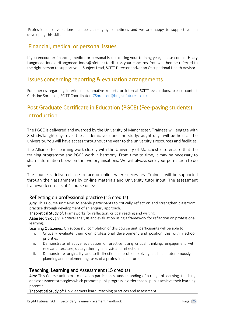Professional conversations can be challenging sometimes and we are happy to support you in developing this skill.

## Financial, medical or personal issues

If you encounter financial, medical or personal issues during your training year, please contact Hilary Langmead-Jones (HLangmead-Jones@bfet.uk) to discuss your concerns. You will then be referred to the right person to support you - Subject Lead, SCITT Director and/or an Occupational Health Advisor.

## Issues concerning reporting & evaluation arrangements

For queries regarding interim or summative reports or internal SCITT evaluations, please contact Christine Sorensen, SCITT Coordinator. [CSorensen@bright-futures.co.uk](mailto:CSorensen@bright-futures.co.uk)

## Post Graduate Certificate in Education (PGCE) (Fee-paying students) Introduction

The PGCE is delivered and awarded by the University of Manchester. Trainees will engage with 8 study/taught days over the academic year and the study/taught days will be held at the university. You will have access throughout the year to the university's resources and facilities.

The Alliance for Learning work closely with the University of Manchester to ensure that the training programme and PGCE work in harmony. From time to time, it may be necessary to share information between the two organisations. We will always seek your permission to do so.

The course is delivered face-to-face or online where necessary. Trainees will be supported through their assignments by on-line materials and University tutor input. The assessment framework consists of 4 course units:

#### Reflecting on professional practice (15 credits)

Aim: This Course unit aims to enable participants to critically reflect on and strengthen classroom practice through development of an enquiry approach.

Theoretical Study of: Frameworks for reflection, critical reading and writing.

Assessed through: A critical analysis and evaluation using a framework for reflection on professional learning.

Learning Outcomes: On successful completion of this course unit, participants will be able to:

- i. Critically evaluate their own professional development and position this within school priorities
- ii. Demonstrate effective evaluation of practice using critical thinking, engagement with relevant literature, data gathering, analysis and reflection
- iii. Demonstrate originality and self-direction in problem-solving and act autonomously in planning and implementing tasks of a professional nature

#### Teaching, Learning and Assessment (15 credits)

Aim: This Course unit aims to develop participants' understanding of a range of learning, teaching and assessment strategies which promote pupil progress in order that all pupils achieve their learning potential.

Theoretical Study of: How learners learn, teaching practices and assessment.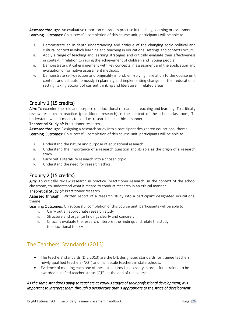Assessed through: An evaluative report on classroom practice in teaching, learning or assessment. Learning Outcomes: On successful completion of this course unit, participants will be able to:

- i. Demonstrate an in-depth understanding and critique of the changing socio-political and cultural context in which learning and teaching in educational settings and contexts occurs.
- ii. Apply a range of teaching and learning strategies and critically evaluate their effectiveness in context in relation to raising the achievement of children and young people.
- iii. Demonstrate critical engagement with key concepts in assessment and the application and evaluation of formative assessment methods.
- iv. Demonstrate self-direction and originality in problem-solving in relation to the Course unit content and act autonomously in planning and implementing change in their educational setting, taking account of current thinking and literature in related areas.

## Enquiry 1 (15 credits)

Aim: To examine the role and purpose of educational research in teaching and learning; To critically review research in practice (practitioner research) in the context of the school classroom; To understand what it means to conduct research in an ethical manner.

Theoretical Study of: Practitioner research.

Assessed through: Designing a research study into a participant designated educational theme. Learning Outcomes: On successful completion of this course unit, participants will be able to:

- i. Understand the nature and purpose of educational research
- ii. Understand the importance of a research question and its role as the origin of a research study
- iii. Carry out a literature research into a chosen topic
- iv. Understand the need for research ethics

#### Enquiry 2 (15 credits)

Aim: To critically review research in practice (practitioner research) in the context of the school classroom; to understand what it means to conduct research in an ethical manner.

Theoretical Study of: Practitioner research

Assessed through: Written report of a research study into a participant designated educational theme

Learning Outcomes: On successful completion of this course unit, participants will be able to:

- i. Carry out an appropriate research study
- ii. Structure and organise findings clearly and concisely
- iii. Critically evaluate the research, interpret the findings and relate the study to educational theory

## The Teachers' Standards (2013)

- The teachers' standards (DfE 2013) are the DfE designated standards for trainee teachers, newly qualified teachers (NQT) and main scale teachers in state schools.
- Evidence of meeting each one of these standards is necessary in order for a trainee to be awarded qualified teacher status (QTS) at the end of the course.

#### *As the same standards apply to teachers at various stages of their professional development, it is important to interpret them through a perspective that is appropriate to the stage of development*